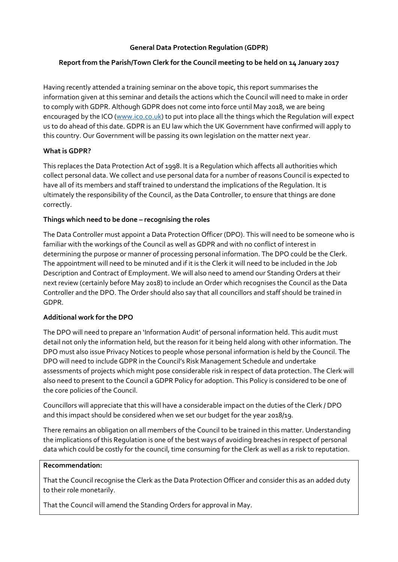# **General Data Protection Regulation (GDPR)**

# **Report from the Parish/Town Clerk for the Council meeting to be held on 14 January 2017**

Having recently attended a training seminar on the above topic, this report summarises the information given at this seminar and details the actions which the Council will need to make in order to comply with GDPR. Although GDPR does not come into force until May 2018, we are being encouraged by the ICO [\(www.ico.co.uk\)](http://www.ico.co.uk/) to put into place all the things which the Regulation will expect us to do ahead of this date. GDPR is an EU law which the UK Government have confirmed will apply to this country. Our Government will be passing its own legislation on the matter next year.

### **What is GDPR?**

This replaces the Data Protection Act of 1998. It is a Regulation which affects all authorities which collect personal data. We collect and use personal data for a number of reasons Council is expected to have all of its members and staff trained to understand the implications of the Regulation. It is ultimately the responsibility of the Council, as the Data Controller, to ensure that things are done correctly.

### **Things which need to be done – recognising the roles**

The Data Controller must appoint a Data Protection Officer (DPO). This will need to be someone who is familiar with the workings of the Council as well as GDPR and with no conflict of interest in determining the purpose or manner of processing personal information. The DPO could be the Clerk. The appointment will need to be minuted and if it is the Clerk it will need to be included in the Job Description and Contract of Employment. We will also need to amend our Standing Orders at their next review (certainly before May 2018) to include an Order which recognises the Council as the Data Controller and the DPO. The Order should also say that all councillors and staff should be trained in GDPR.

# **Additional work for the DPO**

The DPO will need to prepare an 'Information Audit' of personal information held. This audit must detail not only the information held, but the reason for it being held along with other information. The DPO must also issue Privacy Notices to people whose personal information is held by the Council. The DPO will need to include GDPR in the Council's Risk Management Schedule and undertake assessments of projects which might pose considerable risk in respect of data protection. The Clerk will also need to present to the Council a GDPR Policy for adoption. This Policy is considered to be one of the core policies of the Council.

Councillors will appreciate that this will have a considerable impact on the duties of the Clerk / DPO and this impact should be considered when we set our budget for the year 2018/19.

There remains an obligation on all members of the Council to be trained in this matter. Understanding the implications of this Regulation is one of the best ways of avoiding breaches in respect of personal data which could be costly for the council, time consuming for the Clerk as well as a risk to reputation.

#### **Recommendation:**

That the Council recognise the Clerk as the Data Protection Officer and consider this as an added duty to their role monetarily.

That the Council will amend the Standing Orders for approval in May.